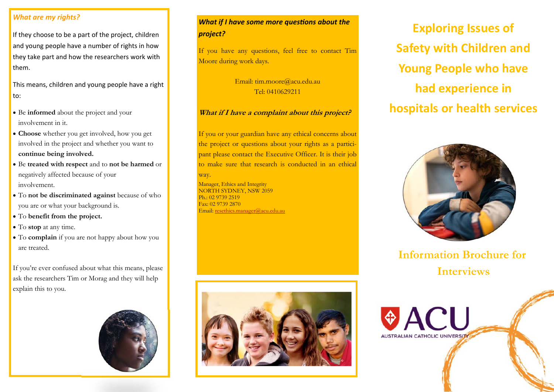### *What are my rights?*

If they choose to be a part of the project, children and young people have a number of rights in how they take part and how the researchers work with them.

This means, children and young people have a right to:

- Be **informed** about the project and your involvement in it.
- **Choose** whether you get involved, how you get involved in the project and whether you want to **continue being involved.**
- Be **treated with respect** and to **not be harmed** or negatively affected because of your involvement.
- To **not be discriminated against** because of who you are or what your background is.
- To **benefit from the project.**
- To **stop** at any time.
- To **complain** if you are not happy about how you are treated.

If you're ever confused about what this means, please ask the researchers Tim or Morag and they will help explain this to you.



# *What if I have some more questions about the project?*

If you have any questions, feel free to contact Tim Moore during work days.

> Email: tim.moore@acu.edu.au Tel: 0410629211

## **What if I have a complaint about this project?**

If you or your guardian have any ethical concerns about the project or questions about your rights as a participant please contact the Executive Officer. It is their job to make sure that research is conducted in an ethical way.

Manager, Ethics and Integrity NORTH SYDNEY, NSW 2059  $Ph \cdot 0297392519$ Fax: 02 9739 2870 Email: resethics.manager@acu.edu.au



**Exploring Issues of Safety with Children and Young People who have had experience in hospitals or health services** 



**Information Brochure for Interviews**